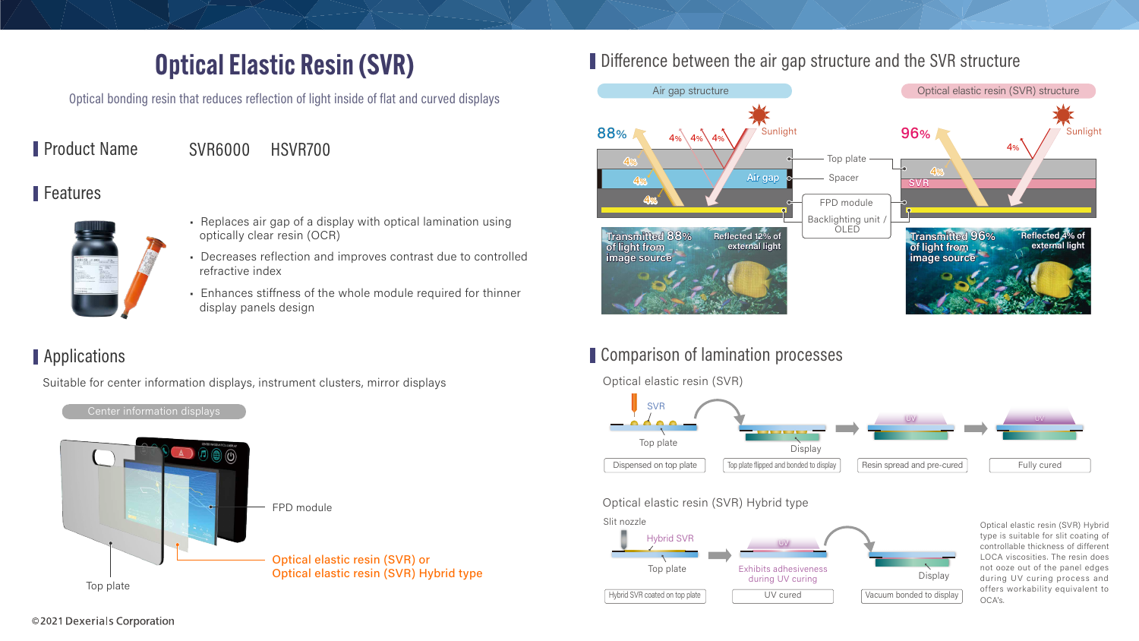

#### Comparison of lamination processes



#### Difference between the air gap structure and the SVR structure



# Optical Elastic Resin (SVR)

Optical bonding resin that reduces reflection of light inside of flat and curved displays

Product Name SVR6000 HSVR700

#### Features



- Replaces air gap of a display with optical lamination using optically clear resin (OCR)
- Decreases reflection and improves contrast due to controlled refractive index
- Enhances stiffness of the whole module required for thinner display panels design

## **Applications**

Suitable for center information displays, instrument clusters, mirror displays